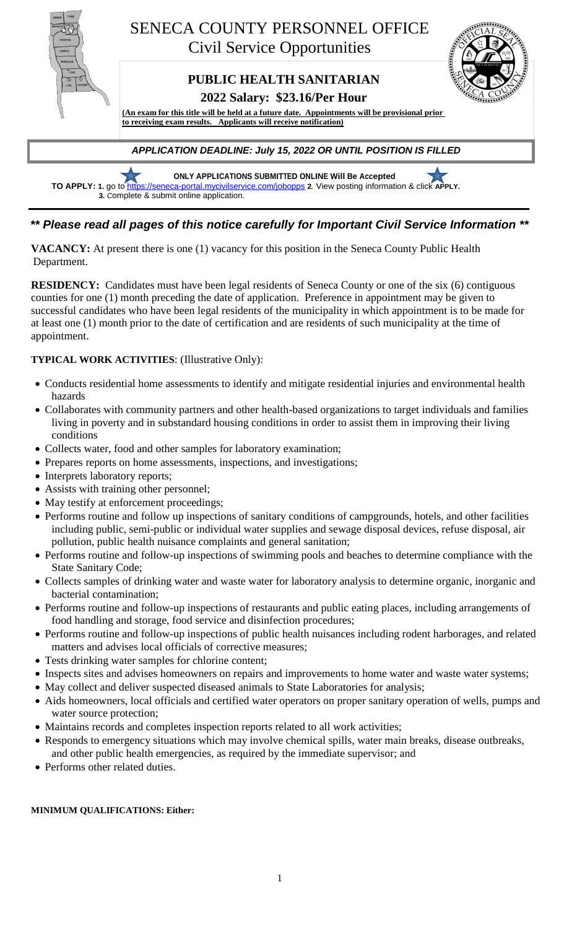

**ONLY APPLICATIONS SUBMITTED ONLINE Will Be Accepted TO APPLY: 1.** go to<https://seneca-portal.mycivilservice.com/jobopps> **2***.* View posting information & click **APPLY. 3***. C*omplete & submit online application.

# *\*\* Please read all pages of this notice carefully for Important Civil Service Information \*\**

**VACANCY:** At present there is one (1) vacancy for this position in the Seneca County Public Health Department.

**RESIDENCY:** Candidates must have been legal residents of Seneca County or one of the six (6) contiguous counties for one (1) month preceding the date of application. Preference in appointment may be given to successful candidates who have been legal residents of the municipality in which appointment is to be made for at least one (1) month prior to the date of certification and are residents of such municipality at the time of appointment.

## **TYPICAL WORK ACTIVITIES**: (Illustrative Only):

- Conducts residential home assessments to identify and mitigate residential injuries and environmental health hazards
- Collaborates with community partners and other health-based organizations to target individuals and families living in poverty and in substandard housing conditions in order to assist them in improving their living conditions
- Collects water, food and other samples for laboratory examination;
- Prepares reports on home assessments, inspections, and investigations;
- Interprets laboratory reports;
- Assists with training other personnel;
- May testify at enforcement proceedings;
- Performs routine and follow up inspections of sanitary conditions of campgrounds, hotels, and other facilities including public, semi-public or individual water supplies and sewage disposal devices, refuse disposal, air pollution, public health nuisance complaints and general sanitation;
- Performs routine and follow-up inspections of swimming pools and beaches to determine compliance with the State Sanitary Code;
- Collects samples of drinking water and waste water for laboratory analysis to determine organic, inorganic and bacterial contamination;
- Performs routine and follow-up inspections of restaurants and public eating places, including arrangements of food handling and storage, food service and disinfection procedures;
- Performs routine and follow-up inspections of public health nuisances including rodent harborages, and related matters and advises local officials of corrective measures;
- Tests drinking water samples for chlorine content;
- Inspects sites and advises homeowners on repairs and improvements to home water and waste water systems;
- May collect and deliver suspected diseased animals to State Laboratories for analysis;
- Aids homeowners, local officials and certified water operators on proper sanitary operation of wells, pumps and water source protection;
- Maintains records and completes inspection reports related to all work activities;
- Responds to emergency situations which may involve chemical spills, water main breaks, disease outbreaks, and other public health emergencies, as required by the immediate supervisor; and
- Performs other related duties.

### **MINIMUM QUALIFICATIONS: Either:**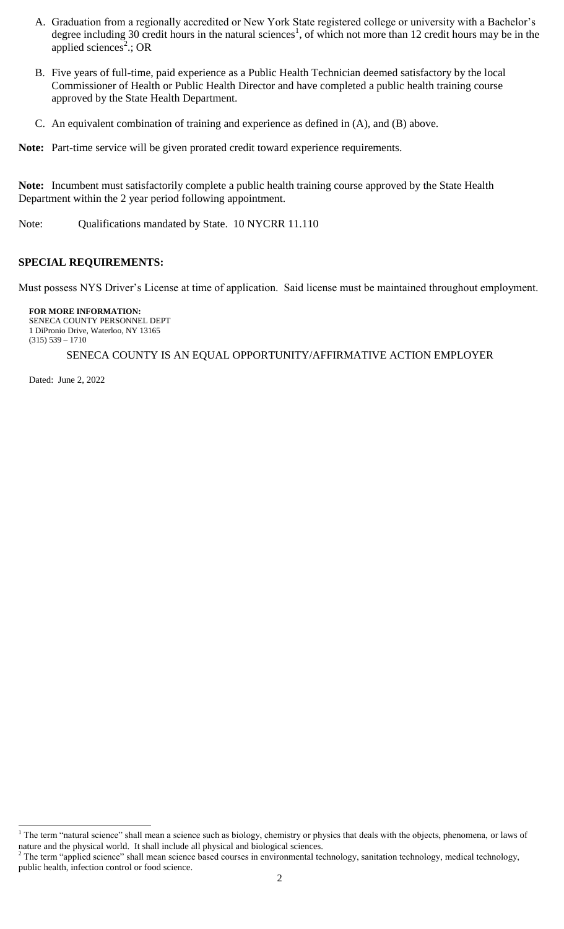- A. Graduation from a regionally accredited or New York State registered college or university with a Bachelor's degree including 30 credit hours in the natural sciences<sup>1</sup>, of which not more than 12 credit hours may be in the applied sciences<sup>2</sup>.; OR
- B. Five years of full-time, paid experience as a Public Health Technician deemed satisfactory by the local Commissioner of Health or Public Health Director and have completed a public health training course approved by the State Health Department.
- C. An equivalent combination of training and experience as defined in (A), and (B) above.

**Note:** Part-time service will be given prorated credit toward experience requirements.

**Note:** Incumbent must satisfactorily complete a public health training course approved by the State Health Department within the 2 year period following appointment.

Note: Qualifications mandated by State. 10 NYCRR 11.110

#### **SPECIAL REQUIREMENTS:**

Must possess NYS Driver's License at time of application. Said license must be maintained throughout employment.

**FOR MORE INFORMATION:** SENECA COUNTY PERSONNEL DEPT

1 DiPronio Drive, Waterloo, NY 13165 (315) 539 – 1710

#### SENECA COUNTY IS AN EQUAL OPPORTUNITY/AFFIRMATIVE ACTION EMPLOYER

Dated: June 2, 2022

 $\overline{a}$ 

 $<sup>1</sup>$  The term "natural science" shall mean a science such as biology, chemistry or physics that deals with the objects, phenomena, or laws of</sup> nature and the physical world. It shall include all physical and biological sciences.

<sup>&</sup>lt;sup>2</sup> The term "applied science" shall mean science based courses in environmental technology, sanitation technology, medical technology, public health, infection control or food science.